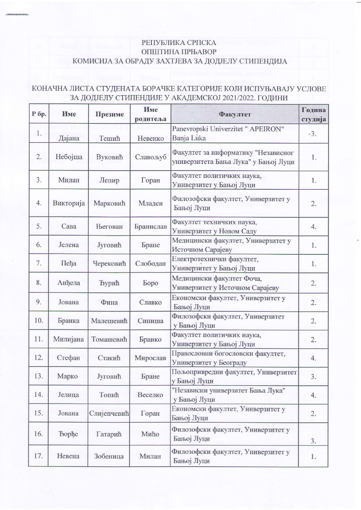## РЕПУБЛИКА СРПСКА ОПШТИНА ПРЊАВОР КОМИСИЈА ЗА ОБРАДУ ЗАХТЈЕВА ЗА ДОДЈЕЛУ СТИПЕНДИЈА

## КОНАЧНА ЛИСТА СТУДЕНАТА БОРАЧКЕ КАТЕГОРИЈЕ КОЈИ ИСПУЊАВАЈУ УСЛОВЕ ЗА ДОДЈЕЛУ СТИПЕНДИЈЕ У АКАДЕМСКОЈ 2021/2022. ГОДИНИ

| Р бр. | Име          | Презиме        | Име<br>родитеља | Факултет                                                                    | Година<br>студија |
|-------|--------------|----------------|-----------------|-----------------------------------------------------------------------------|-------------------|
| 1.    | Дајана       | Тешић          | Невенко         | Panevropski Univerzitet " APEIRON"<br>Banja Luka                            | $-3.$             |
| 2.    | Небојша      | Вуковић        | Славољуб        | Факултет за информатику "Независног<br>универзитета Бања Лука" у Бањој Луци | 1.                |
| 3.    | Милан        | Лепир          | Горан           | Факултет политичких наука,<br>Универзитет у Бањој Луци                      | 1.                |
| 4.    | Викторија    | Марковић       | Младен          | Филозофски факултет, Универзитет у<br>Бањој Луци                            | 2.                |
| 5.    | Сава         | <b>Његован</b> | Бранислав       | Факултет техничких наука,<br>Универзитет у Новом Саду                       | 4.                |
| 6.    | Јелена       | Југовић        | Бране           | Медицински факултет, Универзитет у<br>Источном Сарајеву                     | 1.                |
| 7.    | Пеђа         | Черековић      | Слободан        | Електротехнички факултет,<br>Универзитет у Бањој Луци                       | 1.                |
| 8.    | Анђела       | <b>Ъурић</b>   | <b>Bopo</b>     | Медицински факултет Фоча,<br>Универзитет у Источном Сарајеву                | 2.                |
| 9.    | Јована       | Фина           | Славко          | Економски факултет, Универзитет у<br>Бањој Луци                             | 2.                |
| 10.   | Бранка       | Малешевић      | Синиша          | Филозофски факултет, Универзитет<br>у Бањој Луци                            | 2.                |
| 11.   | Милијана     | Томашевић      | Бранко          | Факултет политичких наука,<br>Универзитет у Бањој Луци                      | 2.                |
| 12.   | Стефан       | Стакић         | Мирослав        | Правословни богословски факултет,<br>Универзитет у Београду                 | 4.                |
| 13.   | Марко        | Југовић        | Бране           | Пољопривредни факултет, Универзитет<br>у Бањој Луци                         | 3.                |
| 14.   | Јелица       | Топић          | Веселко         | "Независни универзитет Бања Лука"<br>у Бањој Луци                           | 4.                |
| 15.   | Јована       | Слијепчевић    | Горан           | Економски факултет, Универзитет у<br>Бањој Луци                             | 2.                |
| 16.   | <b>Bophe</b> | Гатарић        | Мићо            | Филозофски факултет, Универзитет у<br>Бањој Луци                            | 3.                |
| 17.   | Невена       | Зобеница       | Милан           | Филозофски факултет, Универзитет у<br>Бањој Луци                            | 1.                |